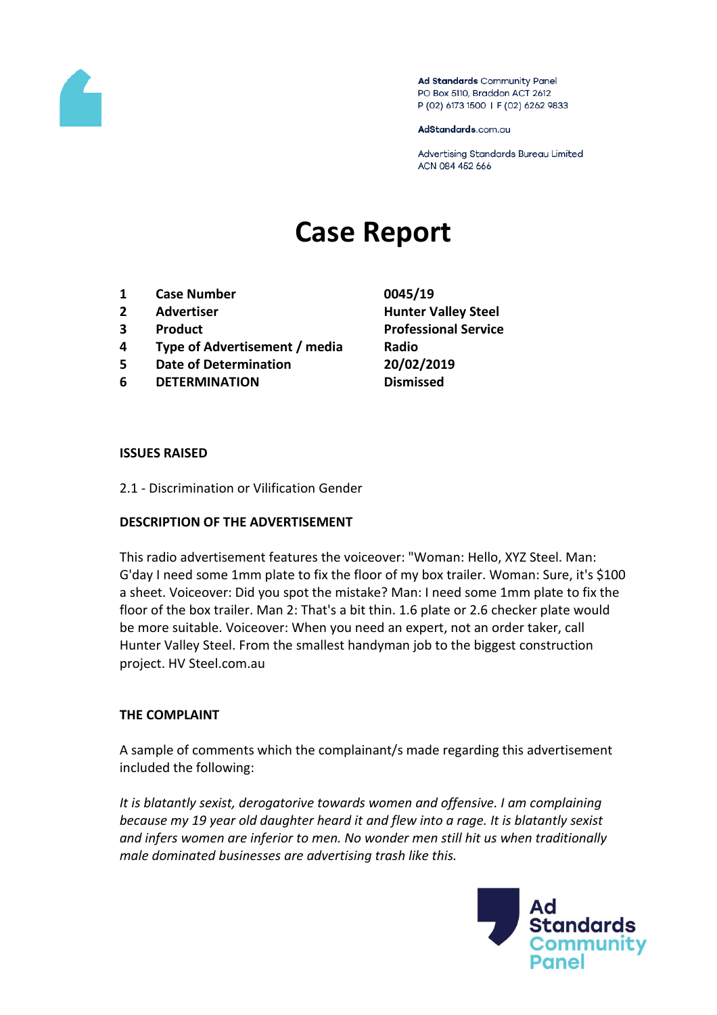

Ad Standards Community Panel PO Box 5110, Braddon ACT 2612 P (02) 6173 1500 | F (02) 6262 9833

AdStandards.com.au

Advertising Standards Bureau Limited ACN 084 452 666

# **Case Report**

- **1 Case Number 0045/19**
- 
- 
- **4 Type of Advertisement / media Radio**
- **5 Date of Determination 20/02/2019**
- **6 DETERMINATION Dismissed**
- **2 Advertiser Hunter Valley Steel 3 Product Professional Service**

#### **ISSUES RAISED**

2.1 - Discrimination or Vilification Gender

### **DESCRIPTION OF THE ADVERTISEMENT**

This radio advertisement features the voiceover: "Woman: Hello, XYZ Steel. Man: G'day I need some 1mm plate to fix the floor of my box trailer. Woman: Sure, it's \$100 a sheet. Voiceover: Did you spot the mistake? Man: I need some 1mm plate to fix the floor of the box trailer. Man 2: That's a bit thin. 1.6 plate or 2.6 checker plate would be more suitable. Voiceover: When you need an expert, not an order taker, call Hunter Valley Steel. From the smallest handyman job to the biggest construction project. HV Steel.com.au

### **THE COMPLAINT**

A sample of comments which the complainant/s made regarding this advertisement included the following:

*It is blatantly sexist, derogatorive towards women and offensive. I am complaining because my 19 year old daughter heard it and flew into a rage. It is blatantly sexist and infers women are inferior to men. No wonder men still hit us when traditionally male dominated businesses are advertising trash like this.*

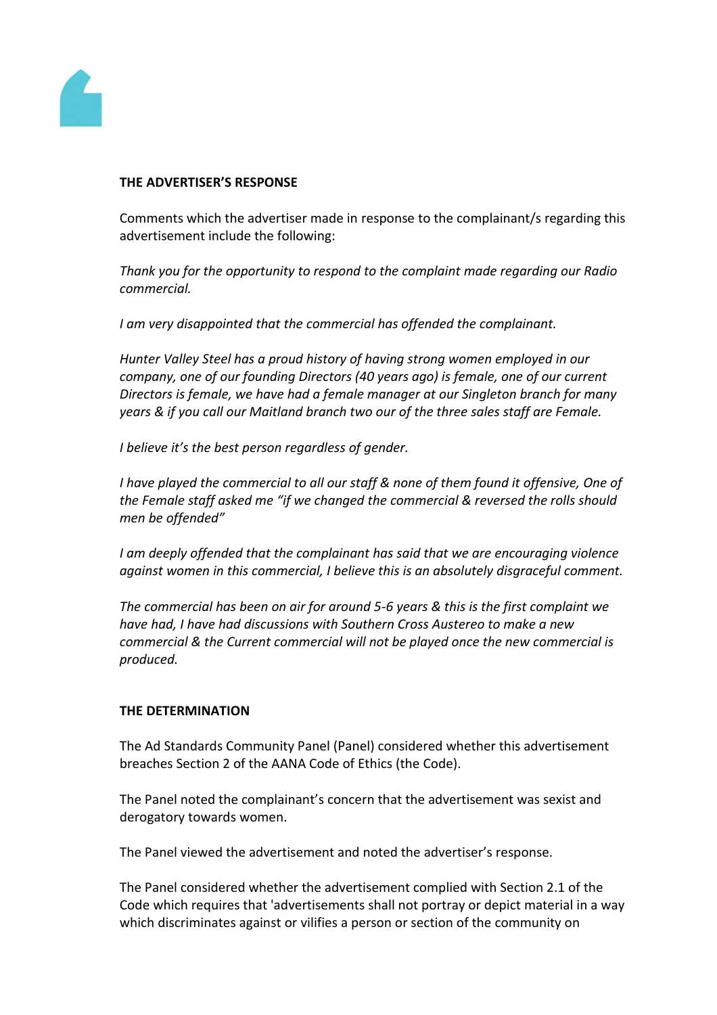

## **THE ADVERTISER'S RESPONSE**

Comments which the advertiser made in response to the complainant/s regarding this advertisement include the following:

*Thank you for the opportunity to respond to the complaint made regarding our Radio commercial.*

*I am very disappointed that the commercial has offended the complainant.*

*Hunter Valley Steel has a proud history of having strong women employed in our company, one of our founding Directors (40 years ago) is female, one of our current Directors is female, we have had a female manager at our Singleton branch for many years & if you call our Maitland branch two our of the three sales staff are Female.*

*I believe it's the best person regardless of gender.*

*I have played the commercial to all our staff & none of them found it offensive, One of the Female staff asked me "if we changed the commercial & reversed the rolls should men be offended"*

*I am deeply offended that the complainant has said that we are encouraging violence against women in this commercial, I believe this is an absolutely disgraceful comment.*

*The commercial has been on air for around 5-6 years & this is the first complaint we have had, I have had discussions with Southern Cross Austereo to make a new commercial & the Current commercial will not be played once the new commercial is produced.*

### **THE DETERMINATION**

The Ad Standards Community Panel (Panel) considered whether this advertisement breaches Section 2 of the AANA Code of Ethics (the Code).

The Panel noted the complainant's concern that the advertisement was sexist and derogatory towards women.

The Panel viewed the advertisement and noted the advertiser's response.

The Panel considered whether the advertisement complied with Section 2.1 of the Code which requires that 'advertisements shall not portray or depict material in a way which discriminates against or vilifies a person or section of the community on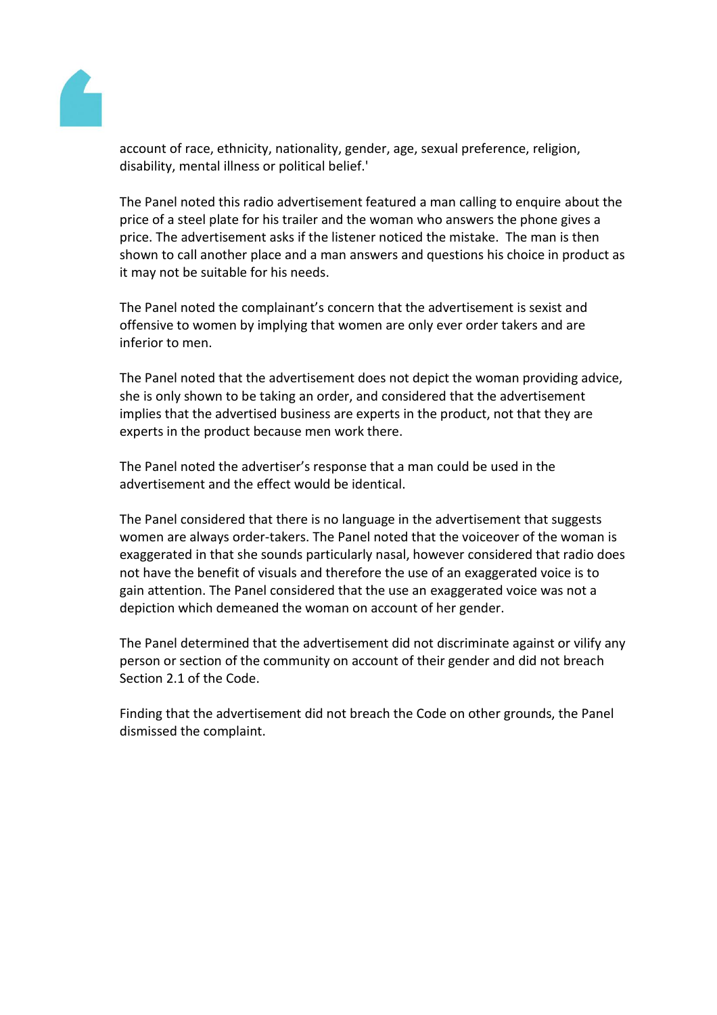

account of race, ethnicity, nationality, gender, age, sexual preference, religion, disability, mental illness or political belief.'

The Panel noted this radio advertisement featured a man calling to enquire about the price of a steel plate for his trailer and the woman who answers the phone gives a price. The advertisement asks if the listener noticed the mistake. The man is then shown to call another place and a man answers and questions his choice in product as it may not be suitable for his needs.

The Panel noted the complainant's concern that the advertisement is sexist and offensive to women by implying that women are only ever order takers and are inferior to men.

The Panel noted that the advertisement does not depict the woman providing advice, she is only shown to be taking an order, and considered that the advertisement implies that the advertised business are experts in the product, not that they are experts in the product because men work there.

The Panel noted the advertiser's response that a man could be used in the advertisement and the effect would be identical.

The Panel considered that there is no language in the advertisement that suggests women are always order-takers. The Panel noted that the voiceover of the woman is exaggerated in that she sounds particularly nasal, however considered that radio does not have the benefit of visuals and therefore the use of an exaggerated voice is to gain attention. The Panel considered that the use an exaggerated voice was not a depiction which demeaned the woman on account of her gender.

The Panel determined that the advertisement did not discriminate against or vilify any person or section of the community on account of their gender and did not breach Section 2.1 of the Code.

Finding that the advertisement did not breach the Code on other grounds, the Panel dismissed the complaint.